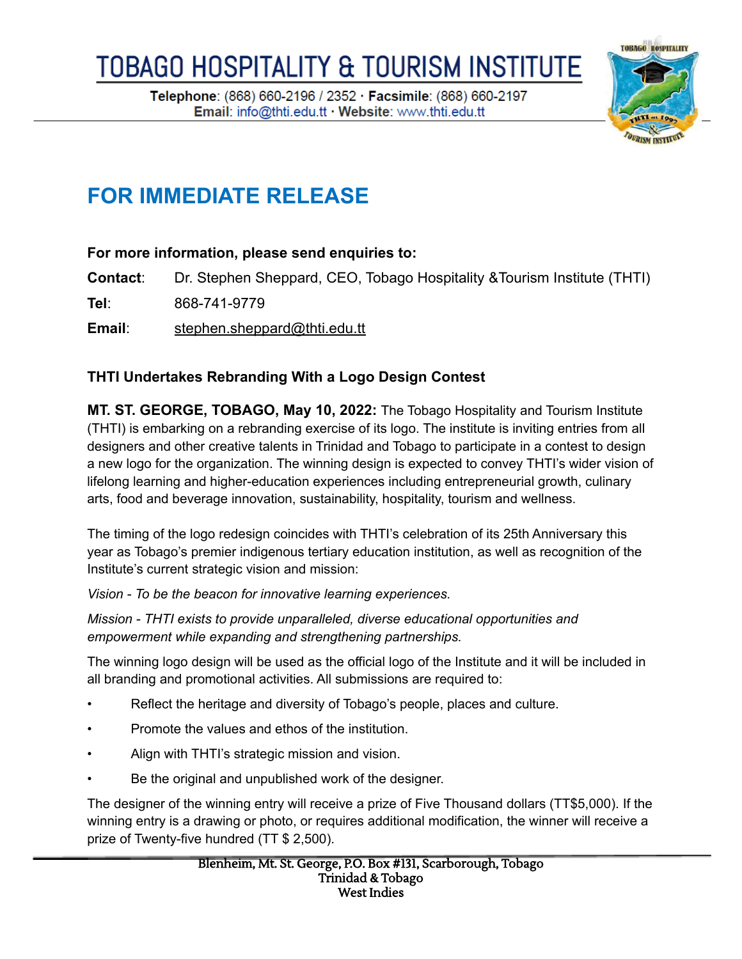Telephone: (868) 660-2196 / 2352 · Facsimile: (868) 660-2197 Email: info@thti.edu.tt · Website: www.thti.edu.tt



## **FOR IMMEDIATE RELEASE**

## **For more information, please send enquiries to:**

**Contact**: Dr. Stephen Sheppard, CEO, Tobago Hospitality &Tourism Institute (THTI)

**Tel**: 868-741-9779

**Email**: [stephen.sheppard@thti.edu.tt](mailto:stephen.sheppard@thti.edu.tt)

## **THTI Undertakes Rebranding With a Logo Design Contest**

**MT. ST. GEORGE, TOBAGO, May 10, 2022:** The Tobago Hospitality and Tourism Institute (THTI) is embarking on a rebranding exercise of its logo. The institute is inviting entries from all designers and other creative talents in Trinidad and Tobago to participate in a contest to design a new logo for the organization. The winning design is expected to convey THTI's wider vision of lifelong learning and higher-education experiences including entrepreneurial growth, culinary arts, food and beverage innovation, sustainability, hospitality, tourism and wellness.

The timing of the logo redesign coincides with THTI's celebration of its 25th Anniversary this year as Tobago's premier indigenous tertiary education institution, as well as recognition of the Institute's current strategic vision and mission:

*Vision - To be the beacon for innovative learning experiences.*

*Mission - THTI exists to provide unparalleled, diverse educational opportunities and empowerment while expanding and strengthening partnerships.*

The winning logo design will be used as the official logo of the Institute and it will be included in all branding and promotional activities. All submissions are required to:

- Reflect the heritage and diversity of Tobago's people, places and culture.
- Promote the values and ethos of the institution.
- Align with THTI's strategic mission and vision.
- Be the original and unpublished work of the designer.

The designer of the winning entry will receive a prize of Five Thousand dollars (TT\$5,000). If the winning entry is a drawing or photo, or requires additional modification, the winner will receive a prize of Twenty-five hundred (TT \$ 2,500).